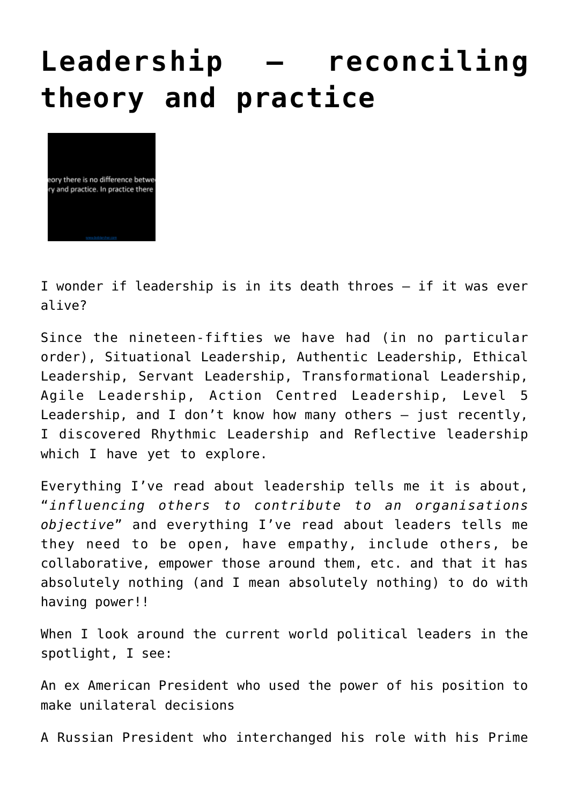## **[Leadership – reconciling](http://boblarcher.com/leadership/leadership-reconciling-theory-and-practice/) [theory and practice](http://boblarcher.com/leadership/leadership-reconciling-theory-and-practice/)**



I wonder if leadership is in its death throes – if it was ever alive?

Since the nineteen-fifties we have had (in no particular order), Situational Leadership, Authentic Leadership, Ethical Leadership, Servant Leadership, Transformational Leadership, Agile Leadership, Action Centred Leadership, Level 5 Leadership, and I don't know how many others – just recently, I discovered Rhythmic Leadership and Reflective leadership which I have yet to explore.

Everything I've read about leadership tells me it is about, "*influencing others to contribute to an organisations objective*" and everything I've read about leaders tells me they need to be open, have empathy, include others, be collaborative, empower those around them, etc. and that it has absolutely nothing (and I mean absolutely nothing) to do with having power!!

When I look around the current world political leaders in the spotlight, I see:

An ex American President who used the power of his position to make unilateral decisions

A Russian President who interchanged his role with his Prime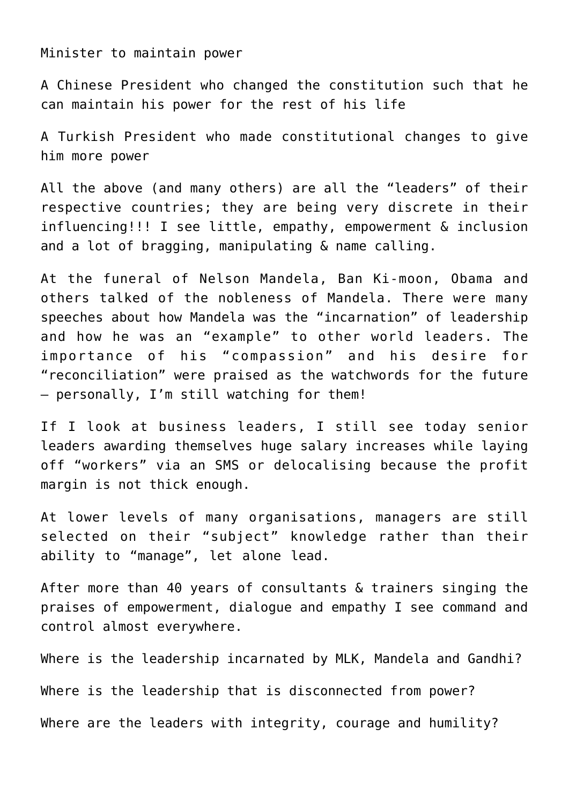Minister to maintain power

A Chinese President who changed the constitution such that he can maintain his power for the rest of his life

A Turkish President who made constitutional changes to give him more power

All the above (and many others) are all the "leaders" of their respective countries; they are being very discrete in their influencing!!! I see little, empathy, empowerment & inclusion and a lot of bragging, manipulating & name calling.

At the funeral of Nelson Mandela, Ban Ki-moon, Obama and others talked of the nobleness of Mandela. There were many speeches about how Mandela was the "incarnation" of leadership and how he was an "example" to other world leaders. The importance of his "compassion" and his desire for "reconciliation" were praised as the watchwords for the future – personally, I'm still watching for them!

If I look at business leaders, I still see today senior leaders awarding themselves huge salary increases while laying off "workers" via an SMS or delocalising because the profit margin is not thick enough.

At lower levels of many organisations, managers are still selected on their "subject" knowledge rather than their ability to "manage", let alone lead.

After more than 40 years of consultants & trainers singing the praises of empowerment, dialogue and empathy I see command and control almost everywhere.

Where is the leadership incarnated by MLK, Mandela and Gandhi? Where is the leadership that is disconnected from power?

Where are the leaders with integrity, courage and humility?